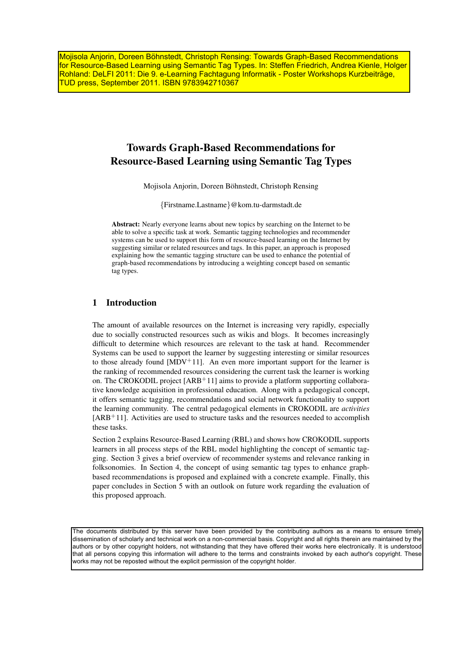Mojisola Anjorin, Doreen Böhnstedt, Christoph Rensing: Towards Graph-Based Recommendations for Resource-Based Learning using Semantic Tag Types. In: Steffen Friedrich, Andrea Kienle, Holger Rohland: DeLFI 2011: Die 9. e-Learning Fachtagung Informatik - Poster Workshops Kurzbeiträge, TUD press, September 2011. ISBN 9783942710367

# Towards Graph-Based Recommendations for Resource-Based Learning using Semantic Tag Types

Mojisola Anjorin, Doreen Böhnstedt, Christoph Rensing

{Firstname.Lastname}@kom.tu-darmstadt.de

Abstract: Nearly everyone learns about new topics by searching on the Internet to be able to solve a specific task at work. Semantic tagging technologies and recommender systems can be used to support this form of resource-based learning on the Internet by suggesting similar or related resources and tags. In this paper, an approach is proposed explaining how the semantic tagging structure can be used to enhance the potential of graph-based recommendations by introducing a weighting concept based on semantic tag types.

# 1 Introduction

The amount of available resources on the Internet is increasing very rapidly, especially due to socially constructed resources such as wikis and blogs. It becomes increasingly difficult to determine which resources are relevant to the task at hand. Recommender Systems can be used to support the learner by suggesting interesting or similar resources to those already found  $[MDV+11]$ . An even more important support for the learner is the ranking of recommended resources considering the current task the learner is working on. The CROKODIL project  $[ARB<sup>+</sup>11]$  aims to provide a platform supporting collaborative knowledge acquisition in professional education. Along with a pedagogical concept, it offers semantic tagging, recommendations and social network functionality to support the learning community. The central pedagogical elements in CROKODIL are *activities* [ARB<sup>+</sup>11]. Activities are used to structure tasks and the resources needed to accomplish these tasks.

Section 2 explains Resource-Based Learning (RBL) and shows how CROKODIL supports learners in all process steps of the RBL model highlighting the concept of semantic tagging. Section 3 gives a brief overview of recommender systems and relevance ranking in folksonomies. In Section 4, the concept of using semantic tag types to enhance graphbased recommendations is proposed and explained with a concrete example. Finally, this paper concludes in Section 5 with an outlook on future work regarding the evaluation of this proposed approach.

The documents distributed by this server have been provided by the contributing authors as a means to ensure timely dissemination of scholarly and technical work on a non-commercial basis. Copyright and all rights therein are maintained by the authors or by other copyright holders, not withstanding that they have offered their works here electronically. It is understood that all persons copying this information will adhere to the terms and constraints invoked by each author's copyright. These works may not be reposted without the explicit permission of the copyright holder.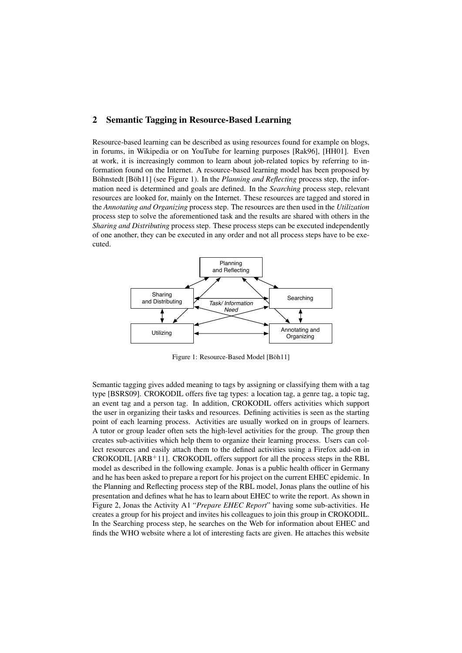# 2 Semantic Tagging in Resource-Based Learning

Resource-based learning can be described as using resources found for example on blogs, in forums, in Wikipedia or on YouTube for learning purposes [Rak96], [HH01]. Even at work, it is increasingly common to learn about job-related topics by referring to information found on the Internet. A resource-based learning model has been proposed by Böhnstedt [Böh11] (see Figure 1). In the *Planning and Reflecting* process step, the information need is determined and goals are defined. In the *Searching* process step, relevant resources are looked for, mainly on the Internet. These resources are tagged and stored in the *Annotating and Organizing* process step. The resources are then used in the *Utilization* process step to solve the aforementioned task and the results are shared with others in the *Sharing and Distributing* process step. These process steps can be executed independently of one another, they can be executed in any order and not all process steps have to be executed.



Figure 1: Resource-Based Model [Böh11]

Semantic tagging gives added meaning to tags by assigning or classifying them with a tag type [BSRS09]. CROKODIL offers five tag types: a location tag, a genre tag, a topic tag, an event tag and a person tag. In addition, CROKODIL offers activities which support the user in organizing their tasks and resources. Defining activities is seen as the starting point of each learning process. Activities are usually worked on in groups of learners. A tutor or group leader often sets the high-level activities for the group. The group then creates sub-activities which help them to organize their learning process. Users can collect resources and easily attach them to the defined activities using a Firefox add-on in CROKODIL  $[ARB<sup>+</sup>11]$ . CROKODIL offers support for all the process steps in the RBL model as described in the following example. Jonas is a public health officer in Germany and he has been asked to prepare a report for his project on the current EHEC epidemic. In the Planning and Reflecting process step of the RBL model, Jonas plans the outline of his presentation and defines what he has to learn about EHEC to write the report. As shown in Figure 2, Jonas the Activity A1 "*Prepare EHEC Report*" having some sub-activities. He creates a group for his project and invites his colleagues to join this group in CROKODIL. In the Searching process step, he searches on the Web for information about EHEC and finds the WHO website where a lot of interesting facts are given. He attaches this website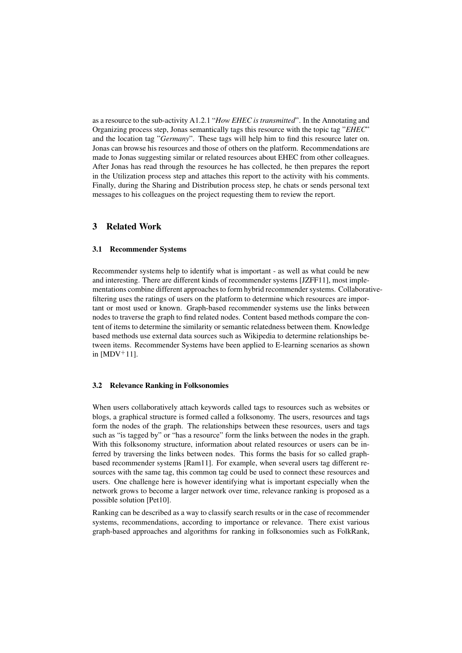as a resource to the sub-activity A1.2.1 "*How EHEC is transmitted*". In the Annotating and Organizing process step, Jonas semantically tags this resource with the topic tag "*EHEC*" and the location tag "*Germany*". These tags will help him to find this resource later on. Jonas can browse his resources and those of others on the platform. Recommendations are made to Jonas suggesting similar or related resources about EHEC from other colleagues. After Jonas has read through the resources he has collected, he then prepares the report in the Utilization process step and attaches this report to the activity with his comments. Finally, during the Sharing and Distribution process step, he chats or sends personal text messages to his colleagues on the project requesting them to review the report.

# 3 Related Work

#### 3.1 Recommender Systems

Recommender systems help to identify what is important - as well as what could be new and interesting. There are different kinds of recommender systems [JZFF11], most implementations combine different approaches to form hybrid recommender systems. Collaborativefiltering uses the ratings of users on the platform to determine which resources are important or most used or known. Graph-based recommender systems use the links between nodes to traverse the graph to find related nodes. Content based methods compare the content of items to determine the similarity or semantic relatedness between them. Knowledge based methods use external data sources such as Wikipedia to determine relationships between items. Recommender Systems have been applied to E-learning scenarios as shown in  $[MDV^+11]$ .

# 3.2 Relevance Ranking in Folksonomies

When users collaboratively attach keywords called tags to resources such as websites or blogs, a graphical structure is formed called a folksonomy. The users, resources and tags form the nodes of the graph. The relationships between these resources, users and tags such as "is tagged by" or "has a resource" form the links between the nodes in the graph. With this folksonomy structure, information about related resources or users can be inferred by traversing the links between nodes. This forms the basis for so called graphbased recommender systems [Ram11]. For example, when several users tag different resources with the same tag, this common tag could be used to connect these resources and users. One challenge here is however identifying what is important especially when the network grows to become a larger network over time, relevance ranking is proposed as a possible solution [Pet10].

Ranking can be described as a way to classify search results or in the case of recommender systems, recommendations, according to importance or relevance. There exist various graph-based approaches and algorithms for ranking in folksonomies such as FolkRank,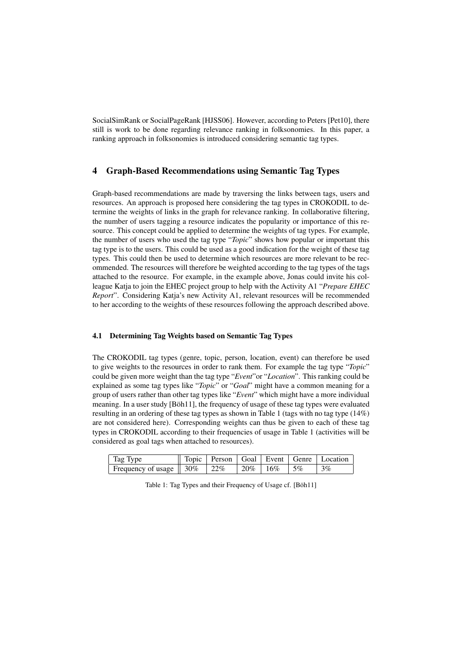SocialSimRank or SocialPageRank [HJSS06]. However, according to Peters [Pet10], there still is work to be done regarding relevance ranking in folksonomies. In this paper, a ranking approach in folksonomies is introduced considering semantic tag types.

# 4 Graph-Based Recommendations using Semantic Tag Types

Graph-based recommendations are made by traversing the links between tags, users and resources. An approach is proposed here considering the tag types in CROKODIL to determine the weights of links in the graph for relevance ranking. In collaborative filtering, the number of users tagging a resource indicates the popularity or importance of this resource. This concept could be applied to determine the weights of tag types. For example, the number of users who used the tag type "*Topic*" shows how popular or important this tag type is to the users. This could be used as a good indication for the weight of these tag types. This could then be used to determine which resources are more relevant to be recommended. The resources will therefore be weighted according to the tag types of the tags attached to the resource. For example, in the example above, Jonas could invite his colleague Katja to join the EHEC project group to help with the Activity A1 "*Prepare EHEC Report*". Considering Katja's new Activity A1, relevant resources will be recommended to her according to the weights of these resources following the approach described above.

# 4.1 Determining Tag Weights based on Semantic Tag Types

The CROKODIL tag types (genre, topic, person, location, event) can therefore be used to give weights to the resources in order to rank them. For example the tag type "*Topic*" could be given more weight than the tag type "*Event*"or "*Location*". This ranking could be explained as some tag types like "*Topic*" or "*Goal*" might have a common meaning for a group of users rather than other tag types like "*Event*" which might have a more individual meaning. In a user study [Böh11], the frequency of usage of these tag types were evaluated resulting in an ordering of these tag types as shown in Table 1 (tags with no tag type (14%) are not considered here). Corresponding weights can thus be given to each of these tag types in CROKODIL according to their frequencies of usage in Table 1 (activities will be considered as goal tags when attached to resources).

| Tag Type                                           |  |                   | Topic   Person   Goal   Event   Genre   Location |
|----------------------------------------------------|--|-------------------|--------------------------------------------------|
| Frequency of usage $\parallel$ 30% $\parallel$ 22% |  | $120\%$ 16\% 15\% | $\vert 3\%$                                      |

Table 1: Tag Types and their Frequency of Usage cf. [Böh11]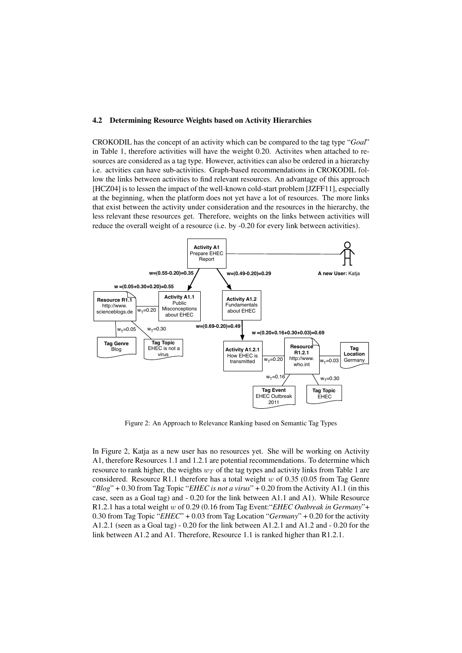#### 4.2 Determining Resource Weights based on Activity Hierarchies

CROKODIL has the concept of an activity which can be compared to the tag type "*Goal*" in Table 1, therefore activities will have the weight 0.20. Activites when attached to resources are considered as a tag type. However, activities can also be ordered in a hierarchy i.e. actvities can have sub-activities. Graph-based recommendations in CROKODIL follow the links between activities to find relevant resources. An advantage of this approach [HCZ04] is to lessen the impact of the well-known cold-start problem [JZFF11], especially at the beginning, when the platform does not yet have a lot of resources. The more links that exist between the activity under consideration and the resources in the hierarchy, the less relevant these resources get. Therefore, weights on the links between activities will reduce the overall weight of a resource (i.e. by -0.20 for every link between activities).



Figure 2: An Approach to Relevance Ranking based on Semantic Tag Types

In Figure 2, Katja as a new user has no resources yet. She will be working on Activity A1, therefore Resources 1.1 and 1.2.1 are potential recommendations. To determine which resource to rank higher, the weights  $w_T$  of the tag types and activity links from Table 1 are considered. Resource R1.1 therefore has a total weight  $w$  of 0.35 (0.05 from Tag Genre "*Blog*" + 0.30 from Tag Topic "*EHEC is not a virus*" + 0.20 from the Activity A1.1 (in this case, seen as a Goal tag) and - 0.20 for the link between A1.1 and A1). While Resource R1.2.1 has a total weight w of 0.29 (0.16 from Tag Event:"*EHEC Outbreak in Germany*"+ 0.30 from Tag Topic "*EHEC*" + 0.03 from Tag Location "*Germany*" + 0.20 for the activity A1.2.1 (seen as a Goal tag)  $-0.20$  for the link between A1.2.1 and A1.2 and  $-0.20$  for the link between A1.2 and A1. Therefore, Resource 1.1 is ranked higher than R1.2.1.